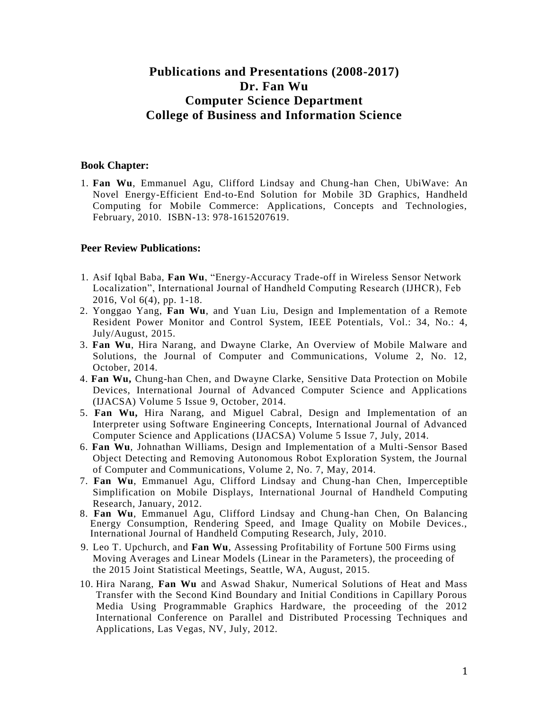# **Publications and Presentations (2008-2017) Dr. Fan Wu Computer Science Department College of Business and Information Science**

### **Book Chapter:**

1. **Fan Wu**, Emmanuel Agu, Clifford Lindsay and Chung-han Chen, UbiWave: An Novel Energy-Efficient End-to-End Solution for Mobile 3D Graphics, Handheld Computing for Mobile Commerce: Applications, Concepts and Technologies, February, 2010. ISBN-13: 978-1615207619.

## **Peer Review Publications:**

- 1. Asif Iqbal Baba, **Fan Wu**, "Energy-Accuracy Trade-off in Wireless Sensor Network Localization", International Journal of Handheld Computing Research (IJHCR), Feb 2016, Vol 6(4), pp. 1-18.
- 2. Yonggao Yang, **Fan Wu**, and Yuan Liu, Design and Implementation of a Remote Resident Power Monitor and Control System, IEEE Potentials, Vol.: 34, No.: 4, July/August, 2015.
- 3. **Fan Wu**, Hira Narang, and Dwayne Clarke, An Overview of Mobile Malware and Solutions, the Journal of Computer and Communications, Volume 2, No. 12, October, 2014.
- 4. **Fan Wu,** Chung-han Chen, and Dwayne Clarke, Sensitive Data Protection on Mobile Devices, International Journal of Advanced Computer Science and Applications (IJACSA) Volume 5 Issue 9, October, 2014.
- 5. **Fan Wu,** Hira Narang, and Miguel Cabral, Design and Implementation of an Interpreter using Software Engineering Concepts, International Journal of Advanced Computer Science and Applications (IJACSA) Volume 5 Issue 7, July, 2014.
- 6. **Fan Wu**, Johnathan Williams, Design and Implementation of a Multi-Sensor Based Object Detecting and Removing Autonomous Robot Exploration System, the Journal of Computer and Communications, Volume 2, No. 7, May, 2014.
- 7. **Fan Wu**, Emmanuel Agu, Clifford Lindsay and Chung-han Chen, Imperceptible Simplification on Mobile Displays, International Journal of Handheld Computing Research, January, 2012.
- 8. **Fan Wu**, Emmanuel Agu, Clifford Lindsay and Chung-han Chen, On Balancing Energy Consumption, Rendering Speed, and Image Quality on Mobile Devices., International Journal of Handheld Computing Research, July, 2010.
- 9. Leo T. Upchurch, and **Fan Wu**, Assessing Profitability of Fortune 500 Firms using Moving Averages and Linear Models (Linear in the Parameters), the proceeding of the 2015 Joint Statistical Meetings, Seattle, WA, August, 2015.
- 10. Hira Narang, **Fan Wu** and Aswad Shakur, Numerical Solutions of Heat and Mass Transfer with the Second Kind Boundary and Initial Conditions in Capillary Porous Media Using Programmable Graphics Hardware, the proceeding of the 2012 International Conference on Parallel and Distributed Processing Techniques and Applications, Las Vegas, NV, July, 2012.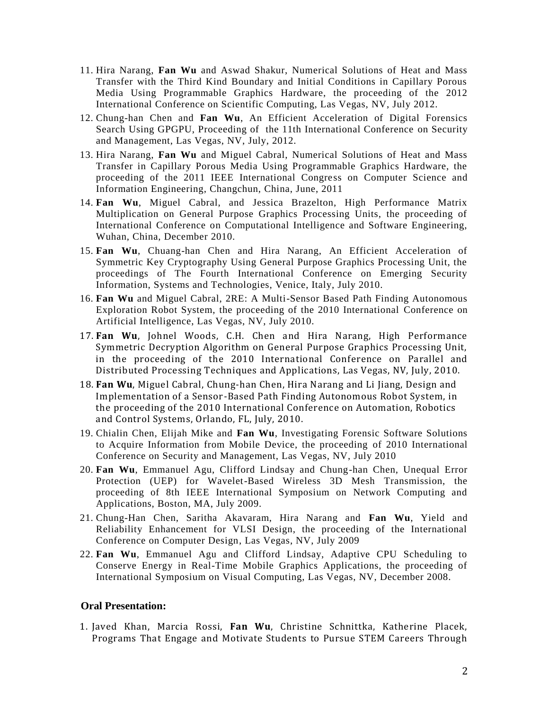- 11. Hira Narang, **Fan Wu** and Aswad Shakur, Numerical Solutions of Heat and Mass Transfer with the Third Kind Boundary and Initial Conditions in Capillary Porous Media Using Programmable Graphics Hardware, the proceeding of the 2012 International Conference on Scientific Computing, Las Vegas, NV, July 2012.
- 12. Chung-han Chen and **Fan Wu**, An Efficient Acceleration of Digital Forensics Search Using GPGPU, Proceeding of the 11th International Conference on Security and Management, Las Vegas, NV, July, 2012.
- 13. Hira Narang, **Fan Wu** and Miguel Cabral, Numerical Solutions of Heat and Mass Transfer in Capillary Porous Media Using Programmable Graphics Hardware, the proceeding of the 2011 IEEE International Congress on Computer Science and Information Engineering, Changchun, China, June, 2011
- 14. **Fan Wu**, Miguel Cabral, and Jessica Brazelton, High Performance Matrix Multiplication on General Purpose Graphics Processing Units, the proceeding of International Conference on Computational Intelligence and Software Engineering, Wuhan, China, December 2010.
- 15. **Fan Wu**, Chuang-han Chen and Hira Narang, An Efficient Acceleration of Symmetric Key Cryptography Using General Purpose Graphics Processing Unit, the proceedings of The Fourth International Conference on Emerging Security Information, Systems and Technologies, Venice, Italy, July 2010.
- 16. **Fan Wu** and Miguel Cabral, 2RE: A Multi-Sensor Based Path Finding Autonomous Exploration Robot System, the proceeding of the 2010 International Conference on Artificial Intelligence, Las Vegas, NV, July 2010.
- 17. **Fan Wu**, Johnel Woods, C.H. Chen and Hira Narang, High Performance Symmetric Decryption Algorithm on General Purpose Graphics Processing Unit, in the proceeding of the 2010 International Conference on Parallel and Distributed Processing Techniques and Applications, Las Vegas, NV, July, 2010.
- 18. **Fan Wu**, Miguel Cabral, Chung-han Chen, Hira Narang and Li Jiang, Design and Implementation of a Sensor-Based Path Finding Autonomous Robot System, in the proceeding of the 2010 International Conference on Automation, Robotics and Control Systems, Orlando, FL, July, 2010.
- 19. Chialin Chen, Elijah Mike and **Fan Wu**, Investigating Forensic Software Solutions to Acquire Information from Mobile Device, the proceeding of 2010 International Conference on Security and Management, Las Vegas, NV, July 2010
- 20. **Fan Wu**, Emmanuel Agu, Clifford Lindsay and Chung-han Chen, Unequal Error Protection (UEP) for Wavelet-Based Wireless 3D Mesh Transmission, the proceeding of 8th IEEE International Symposium on Network Computing and Applications, Boston, MA, July 2009.
- 21. Chung-Han Chen, Saritha Akavaram, Hira Narang and **Fan Wu**, Yield and Reliability Enhancement for VLSI Design, the proceeding of the International Conference on Computer Design, Las Vegas, NV, July 2009
- 22. **Fan Wu**, Emmanuel Agu and Clifford Lindsay, Adaptive CPU Scheduling to Conserve Energy in Real-Time Mobile Graphics Applications, the proceeding of International Symposium on Visual Computing, Las Vegas, NV, December 2008.

## **Oral Presentation:**

1. Javed Khan, Marcia Rossi, **Fan Wu**, Christine Schnittka, Katherine Placek, Programs That Engage and Motivate Students to Pursue STEM Careers Through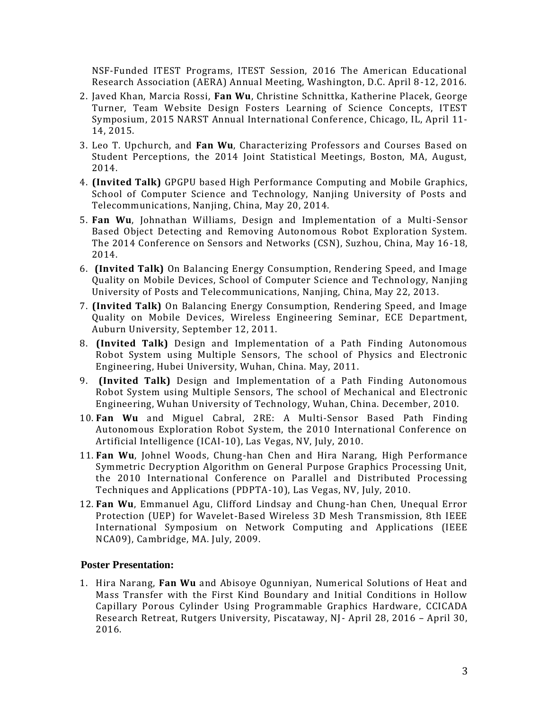NSF-Funded ITEST Programs, ITEST Session, 2016 The American Educational Research Association (AERA) Annual Meeting, Washington, D.C. April 8-12, 2016.

- 2. Javed Khan, Marcia Rossi, **Fan Wu**, Christine Schnittka, Katherine Placek, George Turner, Team Website Design Fosters Learning of Science Concepts, ITEST Symposium, 2015 NARST Annual International Conference, Chicago, IL, April 11- 14, 2015.
- 3. Leo T. Upchurch, and **Fan Wu**, Characterizing Professors and Courses Based on Student Perceptions, the 2014 Joint Statistical Meetings, Boston, MA, August, 2014.
- 4. **(Invited Talk)** GPGPU based High Performance Computing and Mobile Graphics, School of Computer Science and Technology, Nanjing University of Posts and Telecommunications, Nanjing, China, May 20, 2014.
- 5. **Fan Wu**, Johnathan Williams, Design and Implementation of a Multi-Sensor Based Object Detecting and Removing Autonomous Robot Exploration System. The 2014 Conference on Sensors and Networks (CSN), Suzhou, China, May 16-18, 2014.
- 6. **(Invited Talk)** On Balancing Energy Consumption, Rendering Speed, and Image Quality on Mobile Devices, School of Computer Science and Technology, Nanjing University of Posts and Telecommunications, Nanjing, China, May 22, 2013.
- 7. **(Invited Talk)** On Balancing Energy Consumption, Rendering Speed, and Image Quality on Mobile Devices, Wireless Engineering Seminar, ECE Department, Auburn University, September 12, 2011.
- 8. **(Invited Talk)** Design and Implementation of a Path Finding Autonomous Robot System using Multiple Sensors, The school of Physics and Electronic Engineering, Hubei University, Wuhan, China. May, 2011.
- 9. **(Invited Talk)** Design and Implementation of a Path Finding Autonomous Robot System using Multiple Sensors, The school of Mechanical and Electronic Engineering, Wuhan University of Technology, Wuhan, China. December, 2010.
- 10. **Fan Wu** and Miguel Cabral, 2RE: A Multi-Sensor Based Path Finding Autonomous Exploration Robot System, the 2010 International Conference on Artificial Intelligence (ICAI-10), Las Vegas, NV, July, 2010.
- 11. **Fan Wu**, Johnel Woods, Chung-han Chen and Hira Narang, High Performance Symmetric Decryption Algorithm on General Purpose Graphics Processing Unit, the 2010 International Conference on Parallel and Distributed Processing Techniques and Applications (PDPTA-10), Las Vegas, NV, July, 2010.
- 12. **Fan Wu**, Emmanuel Agu, Clifford Lindsay and Chung-han Chen, Unequal Error Protection (UEP) for Wavelet-Based Wireless 3D Mesh Transmission, 8th IEEE International Symposium on Network Computing and Applications (IEEE NCA09), Cambridge, MA. July, 2009.

### **Poster Presentation:**

1. Hira Narang, **Fan Wu** and Abisoye Ogunniyan, Numerical Solutions of Heat and Mass Transfer with the First Kind Boundary and Initial Conditions in Hollow Capillary Porous Cylinder Using Programmable Graphics Hardware, CCICADA Research Retreat, Rutgers University, Piscataway, NJ- April 28, 2016 – April 30, 2016.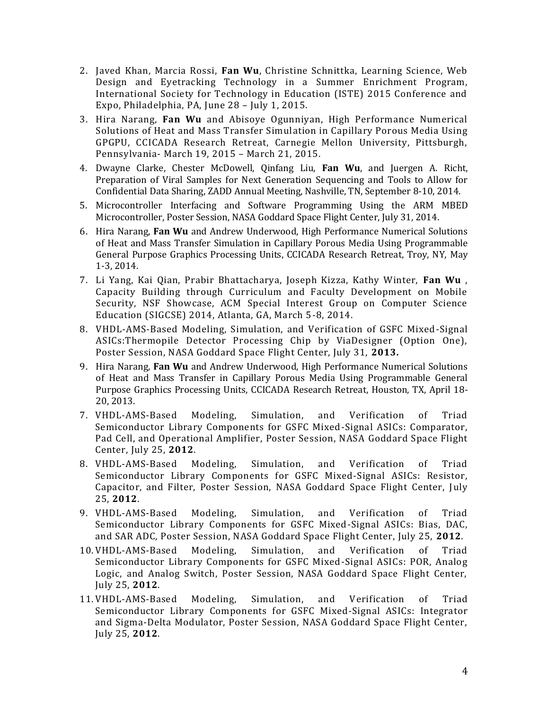- 2. Javed Khan, Marcia Rossi, **Fan Wu**, Christine Schnittka, Learning Science, Web Design and Eyetracking Technology in a Summer Enrichment Program, International Society for Technology in Education (ISTE) 2015 Conference and Expo, Philadelphia, PA, June 28 – July 1, 2015.
- 3. Hira Narang, **Fan Wu** and Abisoye Ogunniyan, High Performance Numerical Solutions of Heat and Mass Transfer Simulation in Capillary Porous Media Using GPGPU, CCICADA Research Retreat, Carnegie Mellon University, Pittsburgh, Pennsylvania- March 19, 2015 – March 21, 2015.
- 4. Dwayne Clarke, Chester McDowell, Qinfang Liu, **Fan Wu**, and Juergen A. Richt, Preparation of Viral Samples for Next Generation Sequencing and Tools to Allow for Confidential Data Sharing, ZADD Annual Meeting, Nashville, TN, September 8-10, 2014.
- 5. Microcontroller Interfacing and Software Programming Using the ARM MBED Microcontroller, Poster Session, NASA Goddard Space Flight Center, July 31, 2014.
- 6. Hira Narang, **Fan Wu** and Andrew Underwood, High Performance Numerical Solutions of Heat and Mass Transfer Simulation in Capillary Porous Media Using Programmable General Purpose Graphics Processing Units, CCICADA Research Retreat, Troy, NY, May 1-3, 2014.
- 7. Li Yang, Kai Qian, Prabir Bhattacharya, Joseph Kizza, Kathy Winter, **Fan Wu** , Capacity Building through Curriculum and Faculty Development on Mobile Security, NSF Showcase, ACM Special Interest Group on Computer Science Education (SIGCSE) 2014, Atlanta, GA, March 5-8, 2014.
- 8. VHDL-AMS-Based Modeling, Simulation, and Verification of GSFC Mixed-Signal ASICs:Thermopile Detector Processing Chip by ViaDesigner (Option One), Poster Session, NASA Goddard Space Flight Center, July 31, **2013.**
- 9. Hira Narang, **Fan Wu** and Andrew Underwood, High Performance Numerical Solutions of Heat and Mass Transfer in Capillary Porous Media Using Programmable General Purpose Graphics Processing Units, CCICADA Research Retreat, Houston, TX, April 18- 20, 2013.
- 7. VHDL-AMS-Based Modeling, Simulation, and Verification of Triad Semiconductor Library Components for GSFC Mixed-Signal ASICs: Comparator, Pad Cell, and Operational Amplifier, Poster Session, NASA Goddard Space Flight Center, July 25, **2012**.
- 8. VHDL-AMS-Based Modeling, Simulation, and Verification of Triad Semiconductor Library Components for GSFC Mixed-Signal ASICs: Resistor, Capacitor, and Filter, Poster Session, NASA Goddard Space Flight Center, July 25, **2012**.
- 9. VHDL-AMS-Based Modeling, Simulation, and Verification of Triad Semiconductor Library Components for GSFC Mixed-Signal ASICs: Bias, DAC, and SAR ADC, Poster Session, NASA Goddard Space Flight Center, July 25, **2012**.
- 10. VHDL-AMS-Based Modeling, Simulation, and Verification of Triad Semiconductor Library Components for GSFC Mixed-Signal ASICs: POR, Analog Logic, and Analog Switch, Poster Session, NASA Goddard Space Flight Center, July 25, **2012**.
- 11. VHDL-AMS-Based Modeling, Simulation, and Verification of Triad Semiconductor Library Components for GSFC Mixed-Signal ASICs: Integrator and Sigma-Delta Modulator, Poster Session, NASA Goddard Space Flight Center, July 25, **2012**.